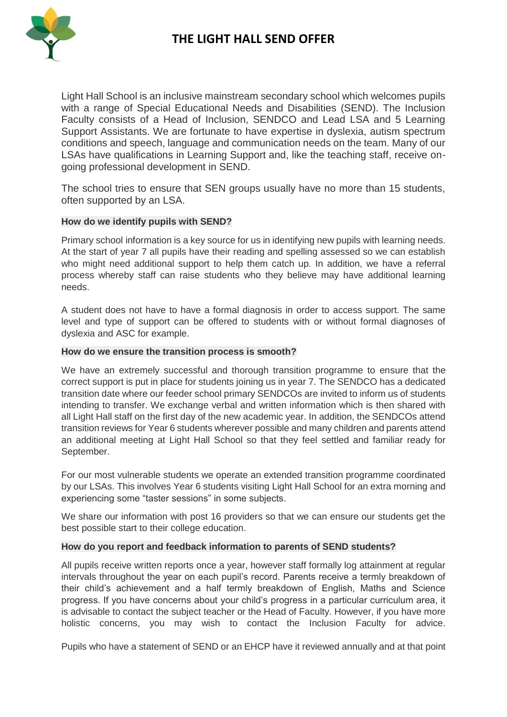

Light Hall School is an inclusive mainstream secondary school which welcomes pupils with a range of Special Educational Needs and Disabilities (SEND). The Inclusion Faculty consists of a Head of Inclusion, SENDCO and Lead LSA and 5 Learning Support Assistants. We are fortunate to have expertise in dyslexia, autism spectrum conditions and speech, language and communication needs on the team. Many of our LSAs have qualifications in Learning Support and, like the teaching staff, receive ongoing professional development in SEND.

The school tries to ensure that SEN groups usually have no more than 15 students, often supported by an LSA.

### **How do we identify pupils with SEND?**

Primary school information is a key source for us in identifying new pupils with learning needs. At the start of year 7 all pupils have their reading and spelling assessed so we can establish who might need additional support to help them catch up. In addition, we have a referral process whereby staff can raise students who they believe may have additional learning needs.

A student does not have to have a formal diagnosis in order to access support. The same level and type of support can be offered to students with or without formal diagnoses of dyslexia and ASC for example.

### **How do we ensure the transition process is smooth?**

We have an extremely successful and thorough transition programme to ensure that the correct support is put in place for students joining us in year 7. The SENDCO has a dedicated transition date where our feeder school primary SENDCOs are invited to inform us of students intending to transfer. We exchange verbal and written information which is then shared with all Light Hall staff on the first day of the new academic year. In addition, the SENDCOs attend transition reviews for Year 6 students wherever possible and many children and parents attend an additional meeting at Light Hall School so that they feel settled and familiar ready for September.

For our most vulnerable students we operate an extended transition programme coordinated by our LSAs. This involves Year 6 students visiting Light Hall School for an extra morning and experiencing some "taster sessions" in some subjects.

We share our information with post 16 providers so that we can ensure our students get the best possible start to their college education.

### **How do you report and feedback information to parents of SEND students?**

All pupils receive written reports once a year, however staff formally log attainment at regular intervals throughout the year on each pupil's record. Parents receive a termly breakdown of their child's achievement and a half termly breakdown of English, Maths and Science progress. If you have concerns about your child's progress in a particular curriculum area, it is advisable to contact the subject teacher or the Head of Faculty. However, if you have more holistic concerns, you may wish to contact the Inclusion Faculty for advice.

Pupils who have a statement of SEND or an EHCP have it reviewed annually and at that point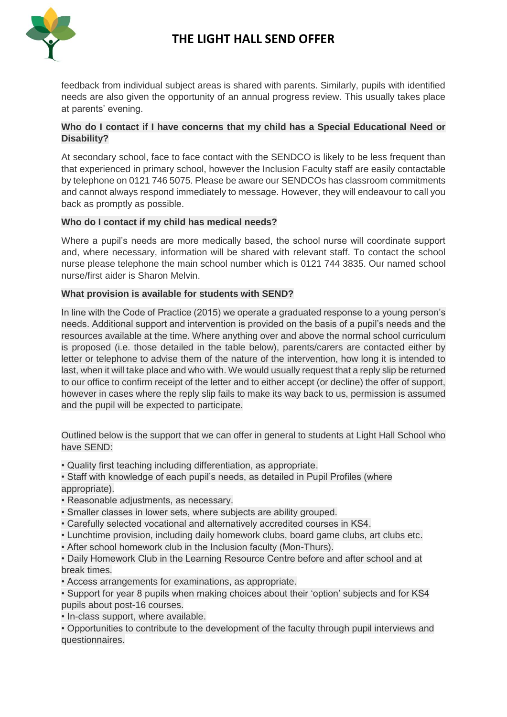

# **THE LIGHT HALL SEND OFFER**

feedback from individual subject areas is shared with parents. Similarly, pupils with identified needs are also given the opportunity of an annual progress review. This usually takes place at parents' evening.

### **Who do I contact if I have concerns that my child has a Special Educational Need or Disability?**

At secondary school, face to face contact with the SENDCO is likely to be less frequent than that experienced in primary school, however the Inclusion Faculty staff are easily contactable by telephone on 0121 746 5075. Please be aware our SENDCOs has classroom commitments and cannot always respond immediately to message. However, they will endeavour to call you back as promptly as possible.

### **Who do I contact if my child has medical needs?**

Where a pupil's needs are more medically based, the school nurse will coordinate support and, where necessary, information will be shared with relevant staff. To contact the school nurse please telephone the main school number which is 0121 744 3835. Our named school nurse/first aider is Sharon Melvin.

### **What provision is available for students with SEND?**

In line with the Code of Practice (2015) we operate a graduated response to a young person's needs. Additional support and intervention is provided on the basis of a pupil's needs and the resources available at the time. Where anything over and above the normal school curriculum is proposed (i.e. those detailed in the table below), parents/carers are contacted either by letter or telephone to advise them of the nature of the intervention, how long it is intended to last, when it will take place and who with. We would usually request that a reply slip be returned to our office to confirm receipt of the letter and to either accept (or decline) the offer of support, however in cases where the reply slip fails to make its way back to us, permission is assumed and the pupil will be expected to participate.

Outlined below is the support that we can offer in general to students at Light Hall School who have SEND:

• Quality first teaching including differentiation, as appropriate.

• Staff with knowledge of each pupil's needs, as detailed in Pupil Profiles (where appropriate).

• Reasonable adjustments, as necessary.

- Smaller classes in lower sets, where subjects are ability grouped.
- Carefully selected vocational and alternatively accredited courses in KS4.
- Lunchtime provision, including daily homework clubs, board game clubs, art clubs etc.

• After school homework club in the Inclusion faculty (Mon-Thurs).

• Daily Homework Club in the Learning Resource Centre before and after school and at break times.

• Access arrangements for examinations, as appropriate.

• Support for year 8 pupils when making choices about their 'option' subjects and for KS4 pupils about post-16 courses.

• In-class support, where available.

• Opportunities to contribute to the development of the faculty through pupil interviews and questionnaires.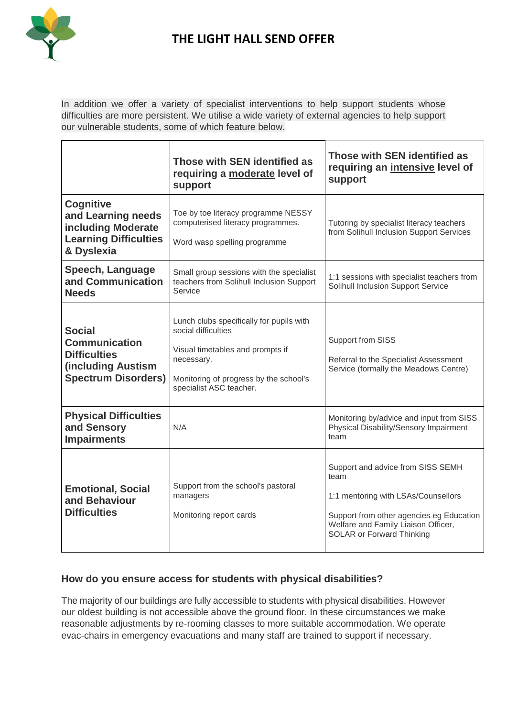

# **THE LIGHT HALL SEND OFFER**

In addition we offer a variety of specialist interventions to help support students whose difficulties are more persistent. We utilise a wide variety of external agencies to help support our vulnerable students, some of which feature below.

|                                                                                                                          | Those with SEN identified as<br>requiring a moderate level of<br>support                                                                                                               | Those with SEN identified as<br>requiring an intensive level of<br>support                                                                                                                              |
|--------------------------------------------------------------------------------------------------------------------------|----------------------------------------------------------------------------------------------------------------------------------------------------------------------------------------|---------------------------------------------------------------------------------------------------------------------------------------------------------------------------------------------------------|
| <b>Cognitive</b><br>and Learning needs<br>including Moderate<br><b>Learning Difficulties</b><br>& Dyslexia               | Toe by toe literacy programme NESSY<br>computerised literacy programmes.<br>Word wasp spelling programme                                                                               | Tutoring by specialist literacy teachers<br>from Solihull Inclusion Support Services                                                                                                                    |
| <b>Speech, Language</b><br>and Communication<br><b>Needs</b>                                                             | Small group sessions with the specialist<br>teachers from Solihull Inclusion Support<br>Service                                                                                        | 1:1 sessions with specialist teachers from<br>Solihull Inclusion Support Service                                                                                                                        |
| <b>Social</b><br><b>Communication</b><br><b>Difficulties</b><br><b>(including Austism)</b><br><b>Spectrum Disorders)</b> | Lunch clubs specifically for pupils with<br>social difficulties<br>Visual timetables and prompts if<br>necessary.<br>Monitoring of progress by the school's<br>specialist ASC teacher. | Support from SISS<br>Referral to the Specialist Assessment<br>Service (formally the Meadows Centre)                                                                                                     |
| <b>Physical Difficulties</b><br>and Sensory<br><b>Impairments</b>                                                        | N/A                                                                                                                                                                                    | Monitoring by/advice and input from SISS<br>Physical Disability/Sensory Impairment<br>team                                                                                                              |
| <b>Emotional, Social</b><br>and Behaviour<br><b>Difficulties</b>                                                         | Support from the school's pastoral<br>managers<br>Monitoring report cards                                                                                                              | Support and advice from SISS SEMH<br>team<br>1:1 mentoring with LSAs/Counsellors<br>Support from other agencies eg Education<br>Welfare and Family Liaison Officer,<br><b>SOLAR or Forward Thinking</b> |

## **How do you ensure access for students with physical disabilities?**

The majority of our buildings are fully accessible to students with physical disabilities. However our oldest building is not accessible above the ground floor. In these circumstances we make reasonable adjustments by re-rooming classes to more suitable accommodation. We operate evac-chairs in emergency evacuations and many staff are trained to support if necessary.